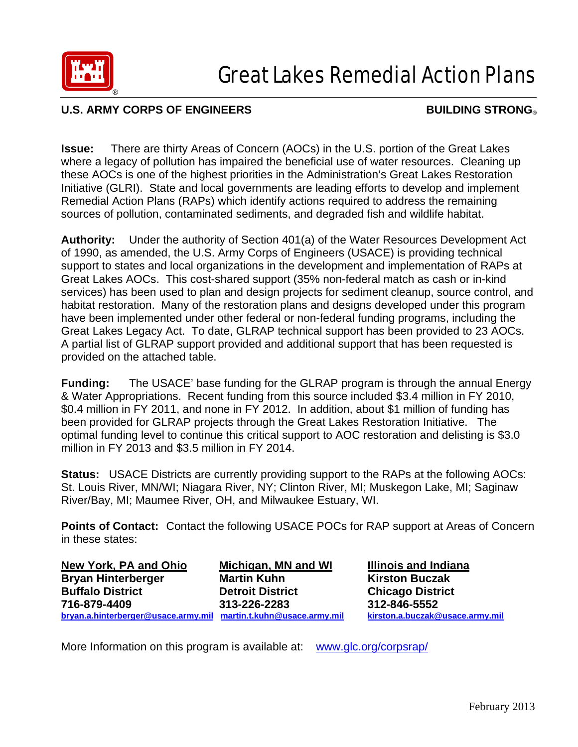

## Great Lakes Remedial Action Plans

## **U.S. ARMY CORPS OF ENGINEERS COMPONE ARE ARRIVED ASSESSED ASSESSED ASSESSED ASSESSED ASSOCIATE**

**Issue:** There are thirty Areas of Concern (AOCs) in the U.S. portion of the Great Lakes where a legacy of pollution has impaired the beneficial use of water resources. Cleaning up these AOCs is one of the highest priorities in the Administration's Great Lakes Restoration Initiative (GLRI). State and local governments are leading efforts to develop and implement Remedial Action Plans (RAPs) which identify actions required to address the remaining sources of pollution, contaminated sediments, and degraded fish and wildlife habitat.

**Authority:** Under the authority of Section 401(a) of the Water Resources Development Act of 1990, as amended, the U.S. Army Corps of Engineers (USACE) is providing technical support to states and local organizations in the development and implementation of RAPs at Great Lakes AOCs. This cost-shared support (35% non-federal match as cash or in-kind services) has been used to plan and design projects for sediment cleanup, source control, and habitat restoration. Many of the restoration plans and designs developed under this program have been implemented under other federal or non-federal funding programs, including the Great Lakes Legacy Act. To date, GLRAP technical support has been provided to 23 AOCs. A partial list of GLRAP support provided and additional support that has been requested is provided on the attached table.

**Funding:** The USACE' base funding for the GLRAP program is through the annual Energy & Water Appropriations. Recent funding from this source included \$3.4 million in FY 2010, \$0.4 million in FY 2011, and none in FY 2012. In addition, about \$1 million of funding has been provided for GLRAP projects through the Great Lakes Restoration Initiative. The optimal funding level to continue this critical support to AOC restoration and delisting is \$3.0 million in FY 2013 and \$3.5 million in FY 2014.

**Status:** USACE Districts are currently providing support to the RAPs at the following AOCs: St. Louis River, MN/WI; Niagara River, NY; Clinton River, MI; Muskegon Lake, MI; Saginaw River/Bay, MI; Maumee River, OH, and Milwaukee Estuary, WI.

**Points of Contact:** Contact the following USACE POCs for RAP support at Areas of Concern in these states:

| <b>New York, PA and Ohio</b>                                     | Michigan, MN and WI     | <b>Illinois and Indiana</b>     |
|------------------------------------------------------------------|-------------------------|---------------------------------|
| <b>Bryan Hinterberger</b>                                        | <b>Martin Kuhn</b>      | <b>Kirston Buczak</b>           |
| <b>Buffalo District</b>                                          | <b>Detroit District</b> | <b>Chicago District</b>         |
| 716-879-4409                                                     | 313-226-2283            | 312-846-5552                    |
| bryan.a.hinterberger@usace.army.mil martin.t.kuhn@usace.army.mil |                         | kirston.a.buczak@usace.army.mil |

More Information on this program is available at: www.glc.org/corpsrap/